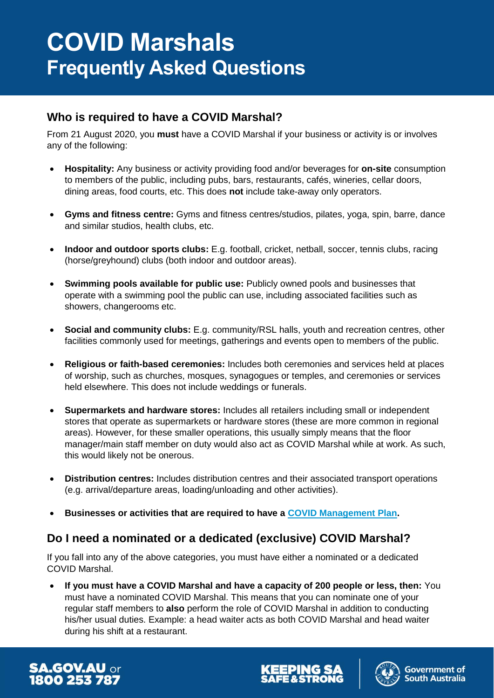# **Who is required to have a COVID Marshal?**

From 21 August 2020, you **must** have a COVID Marshal if your business or activity is or involves any of the following:

- **Hospitality:** Any business or activity providing food and/or beverages for **on-site** consumption to members of the public, including pubs, bars, restaurants, cafés, wineries, cellar doors, dining areas, food courts, etc. This does **not** include take-away only operators.
- **Gyms and fitness centre:** Gyms and fitness centres/studios, pilates, yoga, spin, barre, dance and similar studios, health clubs, etc.
- **Indoor and outdoor sports clubs:** E.g. football, cricket, netball, soccer, tennis clubs, racing (horse/greyhound) clubs (both indoor and outdoor areas).
- **Swimming pools available for public use:** Publicly owned pools and businesses that operate with a swimming pool the public can use, including associated facilities such as showers, changerooms etc.
- **Social and community clubs:** E.g. community/RSL halls, youth and recreation centres, other facilities commonly used for meetings, gatherings and events open to members of the public.
- **Religious or faith-based ceremonies:** Includes both ceremonies and services held at places of worship, such as churches, mosques, synagogues or temples, and ceremonies or services held elsewhere. This does not include weddings or funerals.
- **Supermarkets and hardware stores:** Includes all retailers including small or independent stores that operate as supermarkets or hardware stores (these are more common in regional areas). However, for these smaller operations, this usually simply means that the floor manager/main staff member on duty would also act as COVID Marshal while at work. As such, this would likely not be onerous.
- **Distribution centres:** Includes distribution centres and their associated transport operations (e.g. arrival/departure areas, loading/unloading and other activities).
- **Businesses or activities that are required to have a [COVID Management Plan.](https://www.covid-19.sa.gov.au/recovery/create-a-covid-management-plan)**

# **Do I need a nominated or a dedicated (exclusive) COVID Marshal?**

If you fall into any of the above categories, you must have either a nominated or a dedicated COVID Marshal.

 **If you must have a COVID Marshal and have a capacity of 200 people or less, then:** You must have a nominated COVID Marshal. This means that you can nominate one of your regular staff members to **also** perform the role of COVID Marshal in addition to conducting his/her usual duties. Example: a head waiter acts as both COVID Marshal and head waiter during his shift at a restaurant.





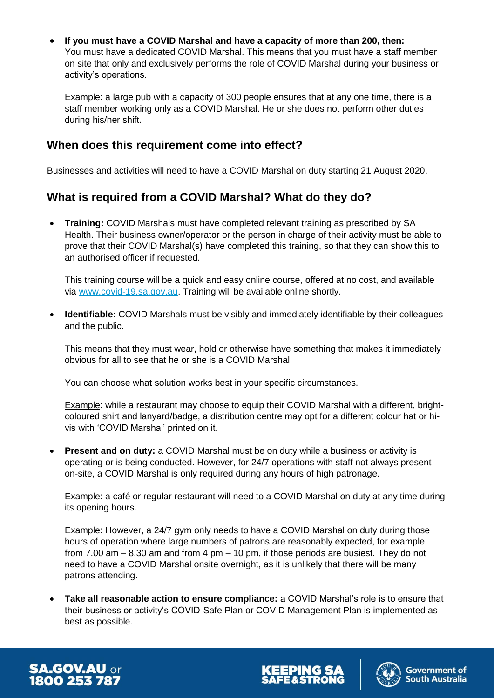**If you must have a COVID Marshal and have a capacity of more than 200, then:** You must have a dedicated COVID Marshal. This means that you must have a staff member on site that only and exclusively performs the role of COVID Marshal during your business or activity's operations.

Example: a large pub with a capacity of 300 people ensures that at any one time, there is a staff member working only as a COVID Marshal. He or she does not perform other duties during his/her shift.

#### **When does this requirement come into effect?**

Businesses and activities will need to have a COVID Marshal on duty starting 21 August 2020.

## **What is required from a COVID Marshal? What do they do?**

 **Training:** COVID Marshals must have completed relevant training as prescribed by SA Health. Their business owner/operator or the person in charge of their activity must be able to prove that their COVID Marshal(s) have completed this training, so that they can show this to an authorised officer if requested.

This training course will be a quick and easy online course, offered at no cost, and available via [www.covid-19.sa.gov.au.](http://www.covid-19.sa.gov.au/) Training will be available online shortly.

 **Identifiable:** COVID Marshals must be visibly and immediately identifiable by their colleagues and the public.

This means that they must wear, hold or otherwise have something that makes it immediately obvious for all to see that he or she is a COVID Marshal.

You can choose what solution works best in your specific circumstances.

Example: while a restaurant may choose to equip their COVID Marshal with a different, brightcoloured shirt and lanyard/badge, a distribution centre may opt for a different colour hat or hivis with 'COVID Marshal' printed on it.

**Present and on duty:** a COVID Marshal must be on duty while a business or activity is operating or is being conducted. However, for 24/7 operations with staff not always present on-site, a COVID Marshal is only required during any hours of high patronage.

Example: a café or regular restaurant will need to a COVID Marshal on duty at any time during its opening hours.

Example: However, a 24/7 gym only needs to have a COVID Marshal on duty during those hours of operation where large numbers of patrons are reasonably expected, for example, from 7.00 am – 8.30 am and from 4 pm – 10 pm, if those periods are busiest. They do not need to have a COVID Marshal onsite overnight, as it is unlikely that there will be many patrons attending.

 **Take all reasonable action to ensure compliance:** a COVID Marshal's role is to ensure that their business or activity's COVID-Safe Plan or COVID Management Plan is implemented as best as possible.





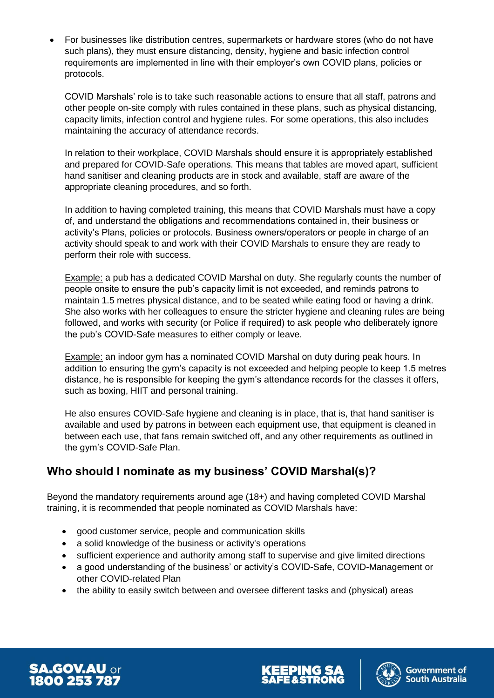For businesses like distribution centres, supermarkets or hardware stores (who do not have such plans), they must ensure distancing, density, hygiene and basic infection control requirements are implemented in line with their employer's own COVID plans, policies or protocols.

COVID Marshals' role is to take such reasonable actions to ensure that all staff, patrons and other people on-site comply with rules contained in these plans, such as physical distancing, capacity limits, infection control and hygiene rules. For some operations, this also includes maintaining the accuracy of attendance records.

In relation to their workplace, COVID Marshals should ensure it is appropriately established and prepared for COVID-Safe operations. This means that tables are moved apart, sufficient hand sanitiser and cleaning products are in stock and available, staff are aware of the appropriate cleaning procedures, and so forth.

In addition to having completed training, this means that COVID Marshals must have a copy of, and understand the obligations and recommendations contained in, their business or activity's Plans, policies or protocols. Business owners/operators or people in charge of an activity should speak to and work with their COVID Marshals to ensure they are ready to perform their role with success.

Example: a pub has a dedicated COVID Marshal on duty. She regularly counts the number of people onsite to ensure the pub's capacity limit is not exceeded, and reminds patrons to maintain 1.5 metres physical distance, and to be seated while eating food or having a drink. She also works with her colleagues to ensure the stricter hygiene and cleaning rules are being followed, and works with security (or Police if required) to ask people who deliberately ignore the pub's COVID-Safe measures to either comply or leave.

Example: an indoor gym has a nominated COVID Marshal on duty during peak hours. In addition to ensuring the gym's capacity is not exceeded and helping people to keep 1.5 metres distance, he is responsible for keeping the gym's attendance records for the classes it offers, such as boxing, HIIT and personal training.

He also ensures COVID-Safe hygiene and cleaning is in place, that is, that hand sanitiser is available and used by patrons in between each equipment use, that equipment is cleaned in between each use, that fans remain switched off, and any other requirements as outlined in the gym's COVID-Safe Plan.

# **Who should I nominate as my business' COVID Marshal(s)?**

Beyond the mandatory requirements around age (18+) and having completed COVID Marshal training, it is recommended that people nominated as COVID Marshals have:

- good customer service, people and communication skills
- a solid knowledge of the business or activity's operations
- sufficient experience and authority among staff to supervise and give limited directions
- a good understanding of the business' or activity's COVID-Safe, COVID-Management or other COVID-related Plan
- the ability to easily switch between and oversee different tasks and (physical) areas





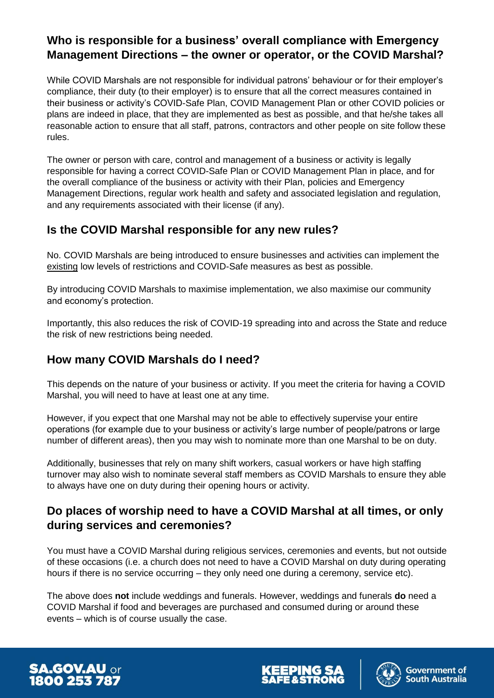# **Who is responsible for a business' overall compliance with Emergency Management Directions – the owner or operator, or the COVID Marshal?**

While COVID Marshals are not responsible for individual patrons' behaviour or for their employer's compliance, their duty (to their employer) is to ensure that all the correct measures contained in their business or activity's COVID-Safe Plan, COVID Management Plan or other COVID policies or plans are indeed in place, that they are implemented as best as possible, and that he/she takes all reasonable action to ensure that all staff, patrons, contractors and other people on site follow these rules.

The owner or person with care, control and management of a business or activity is legally responsible for having a correct COVID-Safe Plan or COVID Management Plan in place, and for the overall compliance of the business or activity with their Plan, policies and Emergency Management Directions, regular work health and safety and associated legislation and regulation, and any requirements associated with their license (if any).

## **Is the COVID Marshal responsible for any new rules?**

No. COVID Marshals are being introduced to ensure businesses and activities can implement the existing low levels of restrictions and COVID-Safe measures as best as possible.

By introducing COVID Marshals to maximise implementation, we also maximise our community and economy's protection.

Importantly, this also reduces the risk of COVID-19 spreading into and across the State and reduce the risk of new restrictions being needed.

## **How many COVID Marshals do I need?**

This depends on the nature of your business or activity. If you meet the criteria for having a COVID Marshal, you will need to have at least one at any time.

However, if you expect that one Marshal may not be able to effectively supervise your entire operations (for example due to your business or activity's large number of people/patrons or large number of different areas), then you may wish to nominate more than one Marshal to be on duty.

Additionally, businesses that rely on many shift workers, casual workers or have high staffing turnover may also wish to nominate several staff members as COVID Marshals to ensure they able to always have one on duty during their opening hours or activity.

# **Do places of worship need to have a COVID Marshal at all times, or only during services and ceremonies?**

You must have a COVID Marshal during religious services, ceremonies and events, but not outside of these occasions (i.e. a church does not need to have a COVID Marshal on duty during operating hours if there is no service occurring – they only need one during a ceremony, service etc).

The above does **not** include weddings and funerals. However, weddings and funerals **do** need a COVID Marshal if food and beverages are purchased and consumed during or around these events – which is of course usually the case.